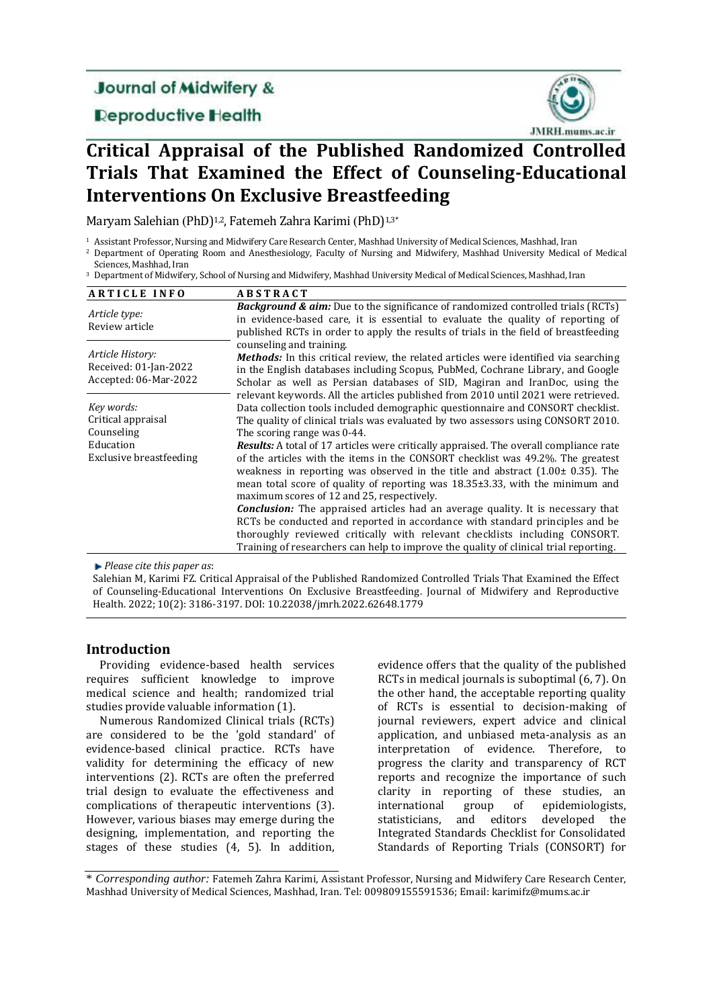# **Journal of Midwifery &**

## **Deproductive Health**



# **Critical Appraisal of the Published Randomized Controlled Trials That Examined the Effect of Counseling-Educational Interventions On Exclusive Breastfeeding**

Maryam Salehian (PhD)<sup>1,2</sup>, Fatemeh Zahra Karimi (PhD)<sup>1,3\*</sup>

<sup>1</sup> Assistant Professor, Nursing and Midwifery Care Research Center, Mashhad University of Medical Sciences, Mashhad, Iran

<sup>2</sup> Department of Operating Room and Anesthesiology, Faculty of Nursing and Midwifery, Mashhad University Medical of Medical Sciences, Mashhad, Iran

<sup>3</sup> Department of Midwifery, School of Nursing and Midwifery, Mashhad University Medical of Medical Sciences, Mashhad, Iran

| <b>ARTICLE INFO</b>                                                | <b>ABSTRACT</b>                                                                                                                                                                                                                                                                                                                                                                                         |
|--------------------------------------------------------------------|---------------------------------------------------------------------------------------------------------------------------------------------------------------------------------------------------------------------------------------------------------------------------------------------------------------------------------------------------------------------------------------------------------|
| Article type:<br>Review article                                    | <b>Background &amp; aim:</b> Due to the significance of randomized controlled trials (RCTs)<br>in evidence-based care, it is essential to evaluate the quality of reporting of<br>published RCTs in order to apply the results of trials in the field of breastfeeding                                                                                                                                  |
| Article History:<br>Received: 01-Jan-2022<br>Accepted: 06-Mar-2022 | counseling and training.<br><b>Methods:</b> In this critical review, the related articles were identified via searching<br>in the English databases including Scopus, PubMed, Cochrane Library, and Google<br>Scholar as well as Persian databases of SID, Magiran and IranDoc, using the                                                                                                               |
| Key words:<br>Critical appraisal<br>Counseling                     | relevant keywords. All the articles published from 2010 until 2021 were retrieved.<br>Data collection tools included demographic questionnaire and CONSORT checklist.<br>The quality of clinical trials was evaluated by two assessors using CONSORT 2010.<br>The scoring range was 0-44.                                                                                                               |
| Education<br>Exclusive breastfeeding                               | <b>Results:</b> A total of 17 articles were critically appraised. The overall compliance rate<br>of the articles with the items in the CONSORT checklist was 49.2%. The greatest<br>weakness in reporting was observed in the title and abstract $(1.00 \pm 0.35)$ . The<br>mean total score of quality of reporting was 18.35±3.33, with the minimum and<br>maximum scores of 12 and 25, respectively. |
|                                                                    | <b>Conclusion:</b> The appraised articles had an average quality. It is necessary that<br>RCTs be conducted and reported in accordance with standard principles and be<br>thoroughly reviewed critically with relevant checklists including CONSORT.<br>Training of researchers can help to improve the quality of clinical trial reporting.                                                            |

*Please cite this paper as*:

Salehian M, Karimi FZ. Critical Appraisal of the Published Randomized Controlled Trials That Examined the Effect of Counseling-Educational Interventions On Exclusive Breastfeeding. Journal of Midwifery and Reproductive Health. 2022; 10(2): 3186-3197. DOI: 10.22038/jmrh.2022.62648.1779

## **Introduction**

Providing evidence-based health services requires sufficient knowledge to improve medical science and health; randomized trial studies provide valuable information (1).

Numerous Randomized Clinical trials (RCTs) are considered to be the 'gold standard' of evidence-based clinical practice. RCTs have validity for determining the efficacy of new interventions (2). RCTs are often the preferred trial design to evaluate the effectiveness and complications of therapeutic interventions (3). However, various biases may emerge during the designing, implementation, and reporting the stages of these studies (4, 5). In addition,

evidence offers that the quality of the published RCTs in medical journals is suboptimal (6, 7). On the other hand, the acceptable reporting quality of RCTs is essential to decision-making of journal reviewers, expert advice and clinical application, and unbiased meta-analysis as an interpretation of evidence. Therefore, to progress the clarity and transparency of RCT reports and recognize the importance of such clarity in reporting of these studies, an international group of epidemiologists, statisticians, and editors developed the Integrated Standards Checklist for Consolidated Standards of Reporting Trials (CONSORT) for

\* *Corresponding author:* Fatemeh Zahra Karimi, Assistant Professor, Nursing and Midwifery Care Research Center, Mashhad University of Medical Sciences, Mashhad, Iran. Tel: 009809155591536; Email: karimifz@mums.ac.ir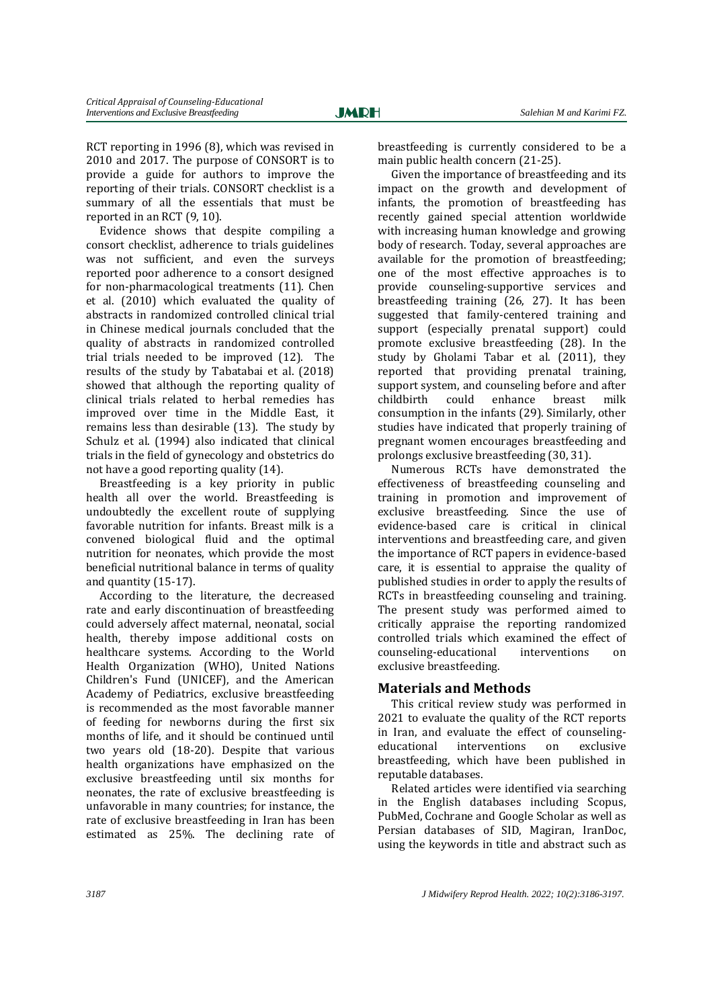RCT reporting in 1996 (8), which was revised in 2010 and 2017. The purpose of CONSORT is to provide a guide for authors to improve the reporting of their trials. CONSORT checklist is a summary of all the essentials that must be reported in an RCT (9, 10).

Evidence shows that despite compiling a consort checklist, adherence to trials guidelines was not sufficient, and even the surveys reported poor adherence to a consort designed for non-pharmacological treatments (11). Chen et al. (2010) which evaluated the quality of abstracts in randomized controlled clinical trial in Chinese medical journals concluded that the quality of abstracts in randomized controlled trial trials needed to be improved (12). The results of the study by Tabatabai et al. (2018) showed that although the reporting quality of clinical trials related to herbal remedies has improved over time in the Middle East, it remains less than desirable (13). The study by Schulz et al. (1994) also indicated that clinical trials in the field of gynecology and obstetrics do not have a good reporting quality (14).

Breastfeeding is a key priority in public health all over the world. Breastfeeding is undoubtedly the excellent route of supplying favorable nutrition for infants. Breast milk is a convened biological fluid and the optimal nutrition for neonates, which provide the most beneficial nutritional balance in terms of quality and quantity (15-17).

According to the literature, the decreased rate and early discontinuation of breastfeeding could adversely affect maternal, neonatal, social health, thereby impose additional costs on healthcare systems. According to the World Health Organization (WHO), United Nations Children's Fund (UNICEF), and the American Academy of Pediatrics, exclusive breastfeeding is recommended as the most favorable manner of feeding for newborns during the first six months of life, and it should be continued until two years old (18-20). Despite that various health organizations have emphasized on the exclusive breastfeeding until six months for neonates, the rate of exclusive breastfeeding is unfavorable in many countries; for instance, the rate of exclusive breastfeeding in Iran has been estimated as 25%. The declining rate of breastfeeding is currently considered to be a main public health concern (21-25).

Given the importance of breastfeeding and its impact on the growth and development of infants, the promotion of breastfeeding has recently gained special attention worldwide with increasing human knowledge and growing body of research. Today, several approaches are available for the promotion of breastfeeding; one of the most effective approaches is to provide counseling-supportive services and breastfeeding training (26, 27). It has been suggested that family-centered training and support (especially prenatal support) could promote exclusive breastfeeding (28). In the study by Gholami Tabar et al. (2011), they reported that providing prenatal training, support system, and counseling before and after childbirth could enhance breast milk consumption in the infants (29). Similarly, other studies have indicated that properly training of pregnant women encourages breastfeeding and prolongs exclusive breastfeeding (30, 31).

Numerous RCTs have demonstrated the effectiveness of breastfeeding counseling and training in promotion and improvement of exclusive breastfeeding. Since the use of evidence-based care is critical in clinical interventions and breastfeeding care, and given the importance of RCT papers in evidence-based care, it is essential to appraise the quality of published studies in order to apply the results of RCTs in breastfeeding counseling and training. The present study was performed aimed to critically appraise the reporting randomized controlled trials which examined the effect of counseling-educational interventions on exclusive breastfeeding.

## **Materials and Methods**

This critical review study was performed in 2021 to evaluate the quality of the RCT reports in Iran, and evaluate the effect of counselingeducational interventions on exclusive breastfeeding, which have been published in reputable databases.

Related articles were identified via searching in the English databases including Scopus, PubMed, Cochrane and Google Scholar as well as Persian databases of SID, Magiran, IranDoc, using the keywords in title and abstract such as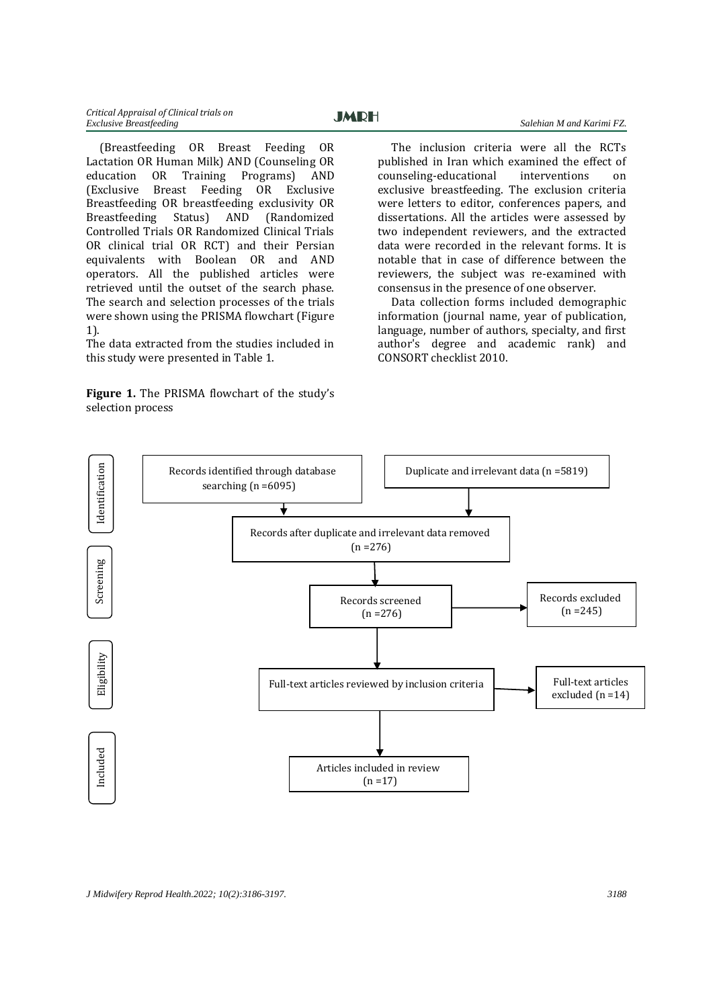(Breastfeeding OR Breast Feeding OR Lactation OR Human Milk) AND (Counseling OR education OR Training Programs) AND (Exclusive Breast Feeding OR Exclusive Breastfeeding OR breastfeeding exclusivity OR Breastfeeding Status) AND (Randomized Controlled Trials OR Randomized Clinical Trials OR clinical trial OR RCT) and their Persian equivalents with Boolean OR and AND operators. All the published articles were retrieved until the outset of the search phase. The search and selection processes of the trials were shown using the PRISMA flowchart (Figure 1).

The data extracted from the studies included in this study were presented in Table 1.

**Figure 1.** The PRISMA flowchart of the study's selection process

The inclusion criteria were all the RCTs published in Iran which examined the effect of counseling-educational interventions on exclusive breastfeeding. The exclusion criteria were letters to editor, conferences papers, and dissertations. All the articles were assessed by two independent reviewers, and the extracted data were recorded in the relevant forms. It is notable that in case of difference between the reviewers, the subject was re-examined with consensus in the presence of one observer.

Data collection forms included demographic information (journal name, year of publication, language, number of authors, specialty, and first author's degree and academic rank) and CONSORT checklist 2010.

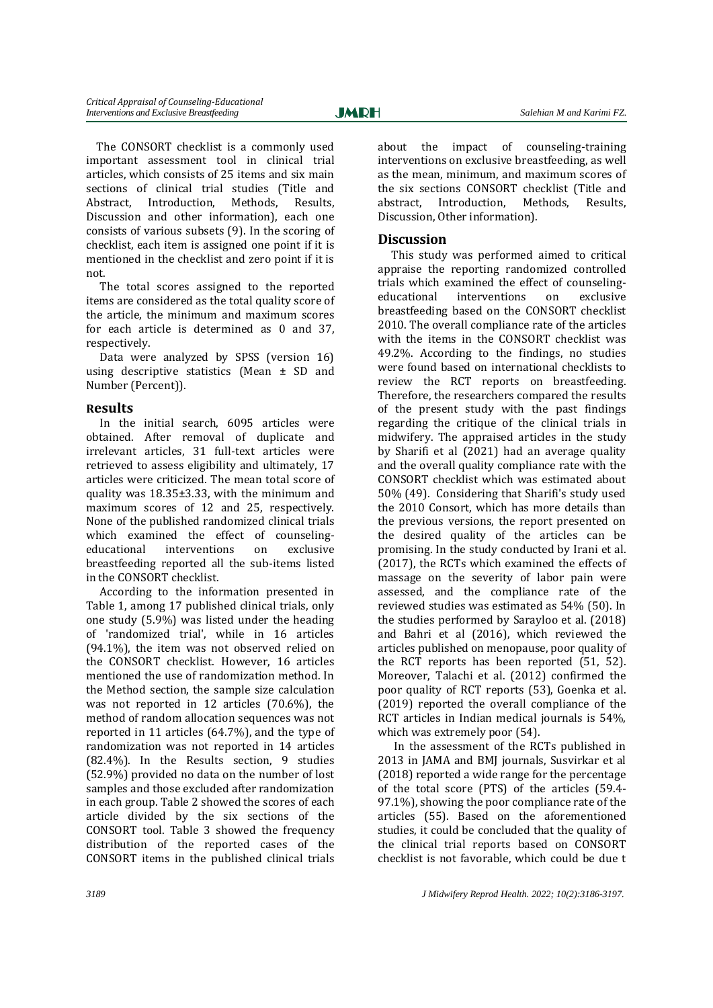The CONSORT checklist is a commonly used important assessment tool in clinical trial articles, which consists of 25 items and six main sections of clinical trial studies (Title and Abstract, Introduction, Methods, Results, Discussion and other information), each one consists of various subsets (9). In the scoring of checklist, each item is assigned one point if it is mentioned in the checklist and zero point if it is not.

The total scores assigned to the reported items are considered as the total quality score of the article, the minimum and maximum scores for each article is determined as 0 and 37, respectively.

Data were analyzed by SPSS (version 16) using descriptive statistics (Mean ± SD and Number (Percent)).

## **Results**

In the initial search, 6095 articles were obtained. After removal of duplicate and irrelevant articles, 31 full-text articles were retrieved to assess eligibility and ultimately, 17 articles were criticized. The mean total score of quality was 18.35±3.33, with the minimum and maximum scores of 12 and 25, respectively. None of the published randomized clinical trials which examined the effect of counselingeducational interventions on exclusive breastfeeding reported all the sub-items listed in the CONSORT checklist.

According to the information presented in Table 1, among 17 published clinical trials, only one study (5.9%) was listed under the heading of 'randomized trial', while in 16 articles (94.1%), the item was not observed relied on the CONSORT checklist. However, 16 articles mentioned the use of randomization method. In the Method section, the sample size calculation was not reported in 12 articles (70.6%), the method of random allocation sequences was not reported in 11 articles (64.7%), and the type of randomization was not reported in 14 articles (82.4%). In the Results section, 9 studies (52.9%) provided no data on the number of lost samples and those excluded after randomization in each group. Table 2 showed the scores of each article divided by the six sections of the CONSORT tool. Table 3 showed the frequency distribution of the reported cases of the CONSORT items in the published clinical trials

about the impact of counseling-training interventions on exclusive breastfeeding, as well as the mean, minimum, and maximum scores of the six sections CONSORT checklist (Title and abstract, Introduction, Methods, Results, Discussion, Other information).

## **Discussion**

This study was performed aimed to critical appraise the reporting randomized controlled trials which examined the effect of counselingeducational interventions on exclusive breastfeeding based on the CONSORT checklist 2010. The overall compliance rate of the articles with the items in the CONSORT checklist was 49.2%. According to the findings, no studies were found based on international checklists to review the RCT reports on breastfeeding. Therefore, the researchers compared the results of the present study with the past findings regarding the critique of the clinical trials in midwifery. The appraised articles in the study by Sharifi et al (2021) had an average quality and the overall quality compliance rate with the CONSORT checklist which was estimated about 50% (49). Considering that Sharifi's study used the 2010 Consort, which has more details than the previous versions, the report presented on the desired quality of the articles can be promising. In the study conducted by Irani et al. (2017), the RCTs which examined the effects of massage on the severity of labor pain were assessed, and the compliance rate of the reviewed studies was estimated as 54% (50). In the studies performed by Sarayloo et al. (2018) and Bahri et al (2016), which reviewed the articles published on menopause, poor quality of the RCT reports has been reported (51, 52). Moreover, Talachi et al. (2012) confirmed the poor quality of RCT reports (53), Goenka et al. (2019) reported the overall compliance of the RCT articles in Indian medical journals is 54%, which was extremely poor (54).

In the assessment of the RCTs published in 2013 in JAMA and BMJ journals, Susvirkar et al (2018) reported a wide range for the percentage of the total score (PTS) of the articles (59.4- 97.1%), showing the poor compliance rate of the articles (55). Based on the aforementioned studies, it could be concluded that the quality of the clinical trial reports based on CONSORT checklist is not favorable, which could be due t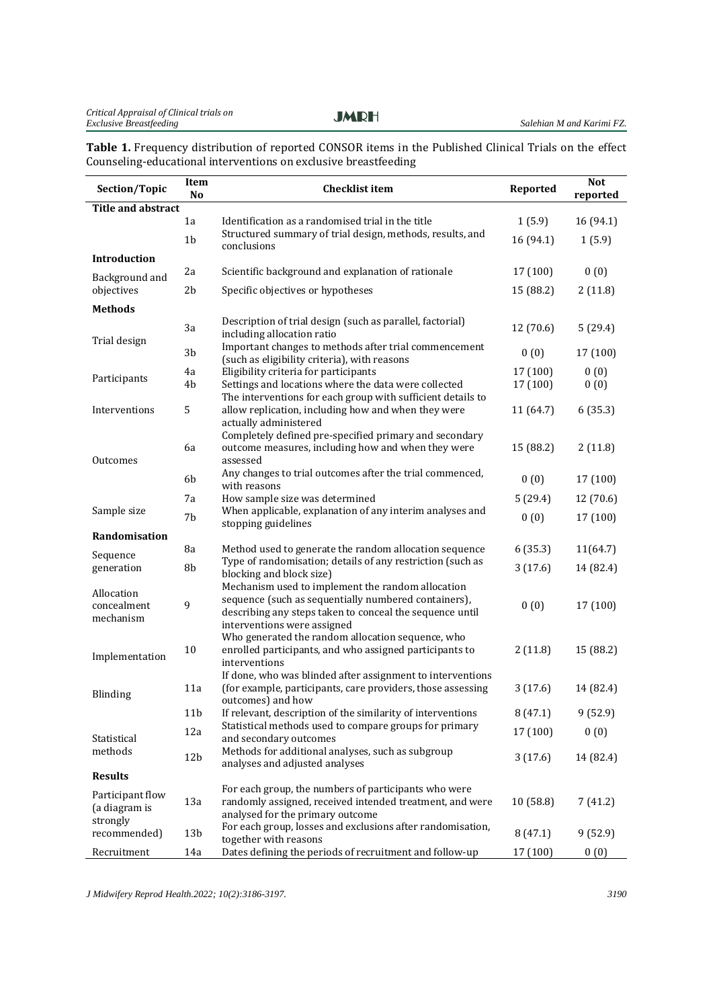**Table 1.** Frequency distribution of reported CONSOR items in the Published Clinical Trials on the effect Counseling-educational interventions on exclusive breastfeeding

| Section/Topic             | Item<br>N <sub>0</sub> | <b>Checklist item</b>                                                                                                 | Reported  | <b>Not</b><br>reported |
|---------------------------|------------------------|-----------------------------------------------------------------------------------------------------------------------|-----------|------------------------|
| <b>Title and abstract</b> |                        |                                                                                                                       |           |                        |
|                           | 1a                     | Identification as a randomised trial in the title                                                                     | 1(5.9)    | 16 (94.1)              |
|                           | 1 <sub>b</sub>         | Structured summary of trial design, methods, results, and<br>conclusions                                              | 16 (94.1) | 1(5.9)                 |
| <b>Introduction</b>       |                        |                                                                                                                       |           |                        |
| Background and            | 2a                     | Scientific background and explanation of rationale                                                                    | 17 (100)  | 0(0)                   |
| objectives                | 2 <sub>b</sub>         | Specific objectives or hypotheses                                                                                     | 15 (88.2) | 2(11.8)                |
| <b>Methods</b>            |                        |                                                                                                                       |           |                        |
| Trial design              | 3a                     | Description of trial design (such as parallel, factorial)<br>including allocation ratio                               | 12 (70.6) | 5(29.4)                |
|                           | 3 <sub>b</sub>         | Important changes to methods after trial commencement<br>(such as eligibility criteria), with reasons                 | 0(0)      | 17 (100)               |
|                           | 4a                     | Eligibility criteria for participants                                                                                 | 17 (100)  | 0(0)                   |
| Participants              | 4 <sub>b</sub>         | Settings and locations where the data were collected                                                                  | 17 (100)  | 0(0)                   |
|                           |                        | The interventions for each group with sufficient details to                                                           |           |                        |
| Interventions             | 5                      | allow replication, including how and when they were<br>actually administered                                          | 11 (64.7) | 6(35.3)                |
|                           |                        | Completely defined pre-specified primary and secondary                                                                |           |                        |
| Outcomes                  | 6a                     | outcome measures, including how and when they were<br>assessed                                                        | 15 (88.2) | 2(11.8)                |
|                           |                        | Any changes to trial outcomes after the trial commenced,                                                              |           |                        |
|                           | 6b                     | with reasons                                                                                                          | 0(0)      | 17 (100)               |
|                           | 7a                     | How sample size was determined                                                                                        | 5(29.4)   | 12 (70.6)              |
| Sample size               | 7b                     | When applicable, explanation of any interim analyses and<br>stopping guidelines                                       | 0(0)      | 17 (100)               |
| Randomisation             |                        |                                                                                                                       |           |                        |
| Sequence                  | 8a                     | Method used to generate the random allocation sequence                                                                | 6(35.3)   | 11(64.7)               |
| generation                | 8b                     | Type of randomisation; details of any restriction (such as<br>blocking and block size)                                | 3(17.6)   | 14 (82.4)              |
|                           |                        | Mechanism used to implement the random allocation                                                                     |           |                        |
| Allocation<br>concealment | 9                      | sequence (such as sequentially numbered containers),                                                                  | 0(0)      | 17 (100)               |
| mechanism                 |                        | describing any steps taken to conceal the sequence until                                                              |           |                        |
|                           |                        | interventions were assigned                                                                                           |           |                        |
|                           | 10                     | Who generated the random allocation sequence, who<br>enrolled participants, and who assigned participants to          | 2(11.8)   | 15 (88.2)              |
| Implementation            |                        | interventions                                                                                                         |           |                        |
|                           |                        | If done, who was blinded after assignment to interventions                                                            |           |                        |
| Blinding                  | 11a                    | (for example, participants, care providers, those assessing                                                           | 3(17.6)   | 14 (82.4)              |
|                           |                        | outcomes) and how                                                                                                     |           |                        |
|                           | 11 <sub>b</sub>        | If relevant, description of the similarity of interventions<br>Statistical methods used to compare groups for primary | 8(47.1)   | 9(52.9)                |
| Statistical               | 12a                    | and secondary outcomes                                                                                                | 17 (100)  | 0(0)                   |
| methods                   | 12 <sub>b</sub>        | Methods for additional analyses, such as subgroup                                                                     | 3(17.6)   | 14 (82.4)              |
|                           |                        | analyses and adjusted analyses                                                                                        |           |                        |
| <b>Results</b>            |                        | For each group, the numbers of participants who were                                                                  |           |                        |
| Participant flow          | 13a                    | randomly assigned, received intended treatment, and were                                                              | 10(58.8)  | 7(41.2)                |
| (a diagram is<br>strongly |                        | analysed for the primary outcome                                                                                      |           |                        |
| recommended)              | 13 <sub>b</sub>        | For each group, losses and exclusions after randomisation,                                                            | 8(47.1)   | 9(52.9)                |
| Recruitment               | 14a                    | together with reasons<br>Dates defining the periods of recruitment and follow-up                                      | 17 (100)  | 0(0)                   |

*J Midwifery Reprod Health.2022; 10(2):3186-3197. 3190*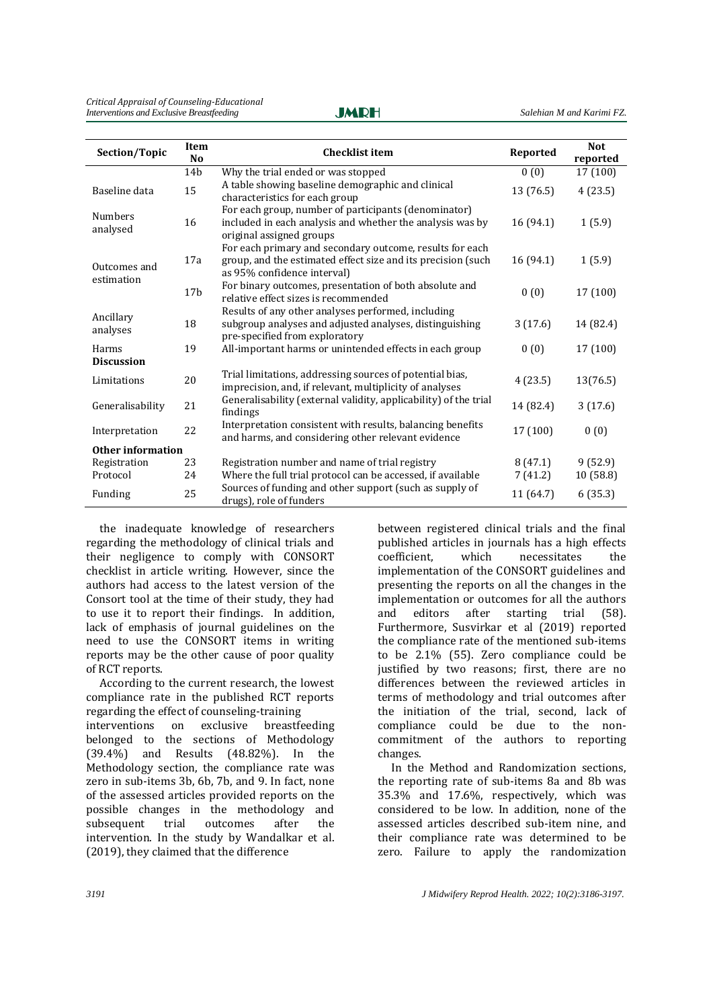| Section/Topic              | Item<br>N <sub>0</sub> | <b>Checklist item</b>                                                                                                                                   | Reported  | <b>Not</b><br>reported |
|----------------------------|------------------------|---------------------------------------------------------------------------------------------------------------------------------------------------------|-----------|------------------------|
|                            | 14 <sub>b</sub>        | Why the trial ended or was stopped                                                                                                                      | 0(0)      | 17 (100)               |
| Baseline data              | 15                     | A table showing baseline demographic and clinical<br>characteristics for each group                                                                     | 13 (76.5) | 4(23.5)                |
| <b>Numbers</b><br>analysed | 16                     | For each group, number of participants (denominator)<br>included in each analysis and whether the analysis was by<br>original assigned groups           | 16 (94.1) | 1(5.9)                 |
| Outcomes and               | 17a                    | For each primary and secondary outcome, results for each<br>group, and the estimated effect size and its precision (such<br>as 95% confidence interval) | 16 (94.1) | 1(5.9)                 |
| estimation                 | 17 <sub>b</sub>        | For binary outcomes, presentation of both absolute and<br>relative effect sizes is recommended                                                          | 0(0)      | 17 (100)               |
| Ancillary<br>analyses      | 18                     | Results of any other analyses performed, including<br>subgroup analyses and adjusted analyses, distinguishing<br>pre-specified from exploratory         | 3(17.6)   | 14 (82.4)              |
| Harms<br><b>Discussion</b> | 19                     | All-important harms or unintended effects in each group                                                                                                 | 0(0)      | 17 (100)               |
| Limitations                | 20                     | Trial limitations, addressing sources of potential bias,<br>imprecision, and, if relevant, multiplicity of analyses                                     | 4(23.5)   | 13(76.5)               |
| 21<br>Generalisability     |                        | Generalisability (external validity, applicability) of the trial<br>findings                                                                            | 14 (82.4) | 3(17.6)                |
| Interpretation             | 22                     | Interpretation consistent with results, balancing benefits<br>and harms, and considering other relevant evidence                                        | 17 (100)  | 0(0)                   |
| Other information          |                        |                                                                                                                                                         |           |                        |
| Registration               | 23                     | Registration number and name of trial registry                                                                                                          | 8(47.1)   | 9(52.9)                |
| Protocol                   | 24                     | Where the full trial protocol can be accessed, if available                                                                                             | 7(41.2)   | 10 (58.8)              |
| Funding                    | 25                     | Sources of funding and other support (such as supply of<br>drugs), role of funders                                                                      | 11 (64.7) | 6(35.3)                |

the inadequate knowledge of researchers regarding the methodology of clinical trials and their negligence to comply with CONSORT checklist in article writing. However, since the authors had access to the latest version of the Consort tool at the time of their study, they had to use it to report their findings. In addition, lack of emphasis of journal guidelines on the need to use the CONSORT items in writing reports may be the other cause of poor quality of RCT reports.

According to the current research, the lowest compliance rate in the published RCT reports regarding the effect of counseling-training interventions on exclusive breastfeeding belonged to the sections of Methodology (39.4%) and Results (48.82%). In the Methodology section, the compliance rate was zero in sub-items 3b, 6b, 7b, and 9. In fact, none of the assessed articles provided reports on the possible changes in the methodology and subsequent trial outcomes after the intervention. In the study by Wandalkar et al. (2019), they claimed that the difference

between registered clinical trials and the final published articles in journals has a high effects coefficient, which necessitates the implementation of the CONSORT guidelines and presenting the reports on all the changes in the implementation or outcomes for all the authors<br>and editors after starting trial (58). and editors after starting trial (58). Furthermore, Susvirkar et al (2019) reported the compliance rate of the mentioned sub-items to be 2.1% (55). Zero compliance could be justified by two reasons; first, there are no differences between the reviewed articles in terms of methodology and trial outcomes after the initiation of the trial, second, lack of compliance could be due to the noncommitment of the authors to reporting changes.

In the Method and Randomization sections, the reporting rate of sub-items 8a and 8b was 35.3% and 17.6%, respectively, which was considered to be low. In addition, none of the assessed articles described sub-item nine, and their compliance rate was determined to be zero. Failure to apply the randomization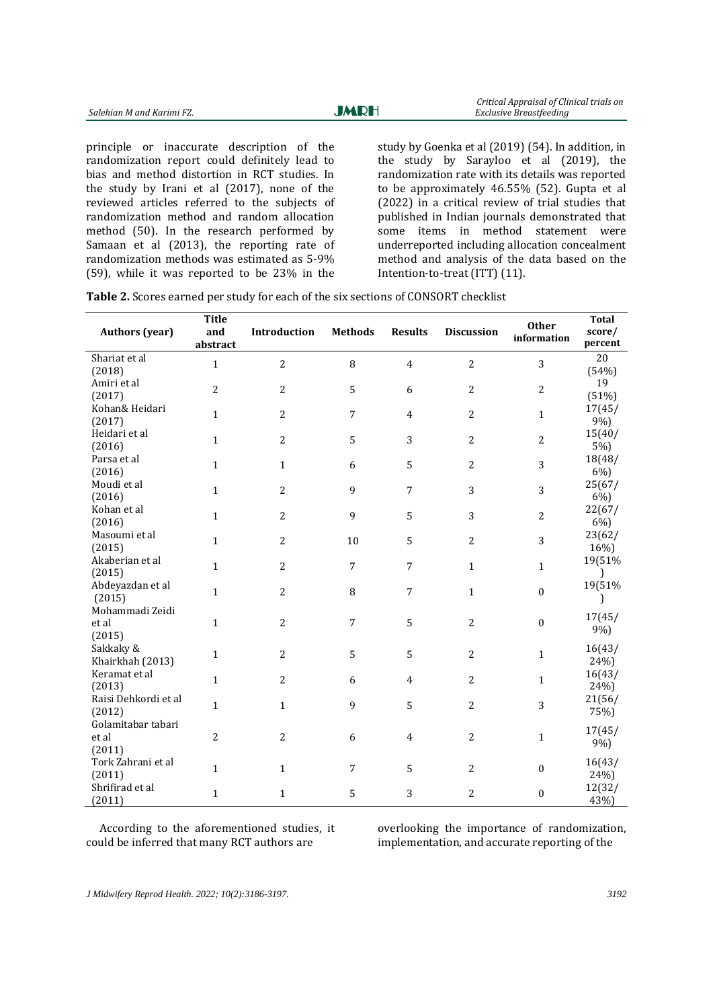| Salehian M and Karimi FZ. |  |  | <b>JMRH</b>                                |  |  | Critical Appraisar of Chinear trials on<br>Exclusive Breastfeeding |                                                    |
|---------------------------|--|--|--------------------------------------------|--|--|--------------------------------------------------------------------|----------------------------------------------------|
|                           |  |  |                                            |  |  |                                                                    |                                                    |
|                           |  |  | principle or inaccurate description of the |  |  |                                                                    | study by Goenka et al (2019) (54). In addition, in |

randomization report could definitely lead to bias and method distortion in RCT studies. In the study by Irani et al (2017), none of the reviewed articles referred to the subjects of randomization method and random allocation method (50). In the research performed by Samaan et al (2013), the reporting rate of randomization methods was estimated as 5-9% (59), while it was reported to be 23% in the

the study by Sarayloo et al (2019), the randomization rate with its details was reported to be approximately 46.55% (52). Gupta et al (2022) in a critical review of trial studies that published in Indian journals demonstrated that some items in method statement were underreported including allocation concealment method and analysis of the data based on the Intention-to-treat (ITT) (11).

 *Critical Appraisal of Clinical trials on*

|  |  |  | Table 2. Scores earned per study for each of the six sections of CONSORT checklist |  |
|--|--|--|------------------------------------------------------------------------------------|--|
|--|--|--|------------------------------------------------------------------------------------|--|

| <b>Authors (year)</b>                 | <b>Title</b><br>and<br>abstract | Introduction   | <b>Methods</b> | <b>Results</b> | <b>Discussion</b> | <b>Other</b><br>information | <b>Total</b><br>score/<br>percent |
|---------------------------------------|---------------------------------|----------------|----------------|----------------|-------------------|-----------------------------|-----------------------------------|
| Shariat et al<br>(2018)               | $\mathbf{1}$                    | 2              | 8              | $\overline{4}$ | $\overline{c}$    | 3                           | 20<br>(54%)                       |
| Amiri et al<br>(2017)                 | $\overline{2}$                  | 2              | 5              | 6              | $\overline{c}$    | 2                           | 19<br>(51%)                       |
| Kohan& Heidari<br>(2017)              | $\mathbf{1}$                    | 2              | $\overline{7}$ | $\overline{4}$ | $\overline{2}$    | $\mathbf{1}$                | 17(45/<br>9%)                     |
| Heidari et al<br>(2016)               | $\mathbf{1}$                    | 2              | 5              | 3              | $\overline{2}$    | $\overline{2}$              | 15(40/<br>5%)                     |
| Parsa et al<br>(2016)                 | $\mathbf{1}$                    | $\mathbf{1}$   | 6              | 5              | $\overline{2}$    | 3                           | 18(48/<br>6%)                     |
| Moudi et al<br>(2016)                 | $\mathbf{1}$                    | 2              | 9              | $\overline{7}$ | 3                 | 3                           | 25(67/<br>6%)                     |
| Kohan et al<br>(2016)                 | $\mathbf{1}$                    | 2              | 9              | 5              | 3                 | $\overline{2}$              | 22(67/<br>6%)                     |
| Masoumi et al<br>(2015)               | $\mathbf{1}$                    | 2              | 10             | 5              | 2                 | 3                           | 23(62/<br>16%)                    |
| Akaberian et al<br>(2015)             | $\mathbf{1}$                    | $\overline{2}$ | $\overline{7}$ | $\overline{7}$ | $\mathbf{1}$      | $\mathbf{1}$                | 19(51%<br>$\mathbf{I}$            |
| Abdeyazdan et al<br>(2015)            | $\mathbf{1}$                    | 2              | 8              | 7              | $\mathbf{1}$      | $\mathbf{0}$                | 19(51%                            |
| Mohammadi Zeidi<br>et al<br>(2015)    | $\mathbf{1}$                    | 2              | 7              | 5              | 2                 | $\mathbf{0}$                | 17(45/<br>9%)                     |
| Sakkaky &<br>Khairkhah (2013)         | $\mathbf{1}$                    | 2              | 5              | 5              | $\overline{2}$    | 1                           | 16(43/<br>24%)                    |
| Keramat et al<br>(2013)               | $\mathbf{1}$                    | $\overline{2}$ | 6              | $\overline{4}$ | $\overline{2}$    | $\mathbf{1}$                | 16(43/<br>24%)                    |
| Raisi Dehkordi et al<br>(2012)        | $\mathbf{1}$                    | $\mathbf{1}$   | 9              | 5              | $\overline{2}$    | 3                           | 21(56/<br>75%)                    |
| Golamitabar tabari<br>et al<br>(2011) | $\overline{c}$                  | 2              | 6              | 4              | 2                 | $\mathbf{1}$                | 17(45/<br>9%)                     |
| Tork Zahrani et al<br>(2011)          | $\mathbf{1}$                    | $\mathbf{1}$   | 7              | 5              | $\overline{2}$    | $\Omega$                    | 16(43/<br>24%                     |
| Shrifirad et al<br>(2011)             | $\mathbf{1}$                    | $\mathbf 1$    | 5              | 3              | $\overline{2}$    | $\mathbf{0}$                | 12(32/<br>43%)                    |

According to the aforementioned studies, it could be inferred that many RCT authors are

overlooking the importance of randomization, implementation, and accurate reporting of the

*J Midwifery Reprod Health. 2022; 10(2):3186-3197. 3192*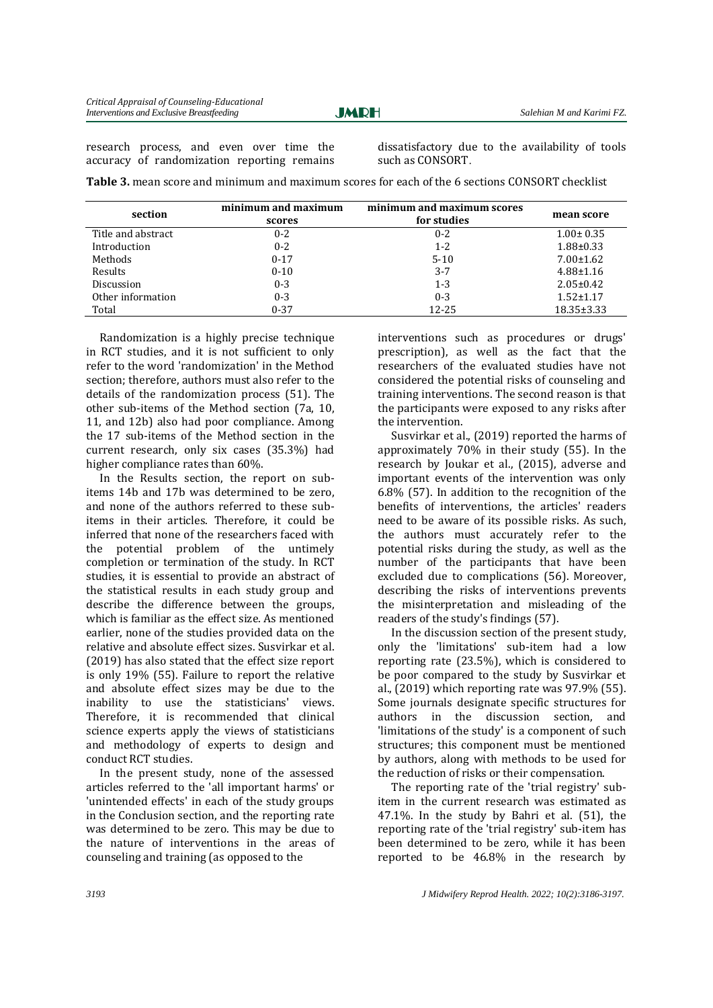research process, and even over time the accuracy of randomization reporting remains dissatisfactory due to the availability of tools such as CONSORT.

**Table 3.** mean score and minimum and maximum scores for each of the 6 sections CONSORT checklist

| section            | minimum and maximum<br>scores | minimum and maximum scores<br>for studies | mean score       |
|--------------------|-------------------------------|-------------------------------------------|------------------|
| Title and abstract | $0 - 2$                       | $0 - 2$                                   | $1.00 \pm 0.35$  |
| Introduction       | $0 - 2$                       | $1 - 2$                                   | $1.88 \pm 0.33$  |
| Methods            | $0 - 17$                      | $5 - 10$                                  | $7.00 \pm 1.62$  |
| Results            | $0 - 10$                      | $3 - 7$                                   | $4.88 \pm 1.16$  |
| Discussion         | $0 - 3$                       | $1 - 3$                                   | $2.05 \pm 0.42$  |
| Other information  | $0 - 3$                       | $0 - 3$                                   | $1.52 \pm 1.17$  |
| Total              | $0 - 37$                      | 12-25                                     | $18.35 \pm 3.33$ |

Randomization is a highly precise technique in RCT studies, and it is not sufficient to only refer to the word 'randomization' in the Method section; therefore, authors must also refer to the details of the randomization process (51). The other sub-items of the Method section (7a, 10, 11, and 12b) also had poor compliance. Among the 17 sub-items of the Method section in the current research, only six cases (35.3%) had higher compliance rates than 60%.

In the Results section, the report on subitems 14b and 17b was determined to be zero, and none of the authors referred to these subitems in their articles. Therefore, it could be inferred that none of the researchers faced with the potential problem of the untimely completion or termination of the study. In RCT studies, it is essential to provide an abstract of the statistical results in each study group and describe the difference between the groups, which is familiar as the effect size. As mentioned earlier, none of the studies provided data on the relative and absolute effect sizes. Susvirkar et al. (2019) has also stated that the effect size report is only 19% (55). Failure to report the relative and absolute effect sizes may be due to the inability to use the statisticians' views. Therefore, it is recommended that clinical science experts apply the views of statisticians and methodology of experts to design and conduct RCT studies.

In the present study, none of the assessed articles referred to the 'all important harms' or 'unintended effects' in each of the study groups in the Conclusion section, and the reporting rate was determined to be zero. This may be due to the nature of interventions in the areas of counseling and training (as opposed to the

interventions such as procedures or drugs' prescription), as well as the fact that the researchers of the evaluated studies have not considered the potential risks of counseling and training interventions. The second reason is that the participants were exposed to any risks after the intervention.

Susvirkar et al., (2019) reported the harms of approximately 70% in their study (55). In the research by Joukar et al., (2015), adverse and important events of the intervention was only 6.8% (57). In addition to the recognition of the benefits of interventions, the articles' readers need to be aware of its possible risks. As such, the authors must accurately refer to the potential risks during the study, as well as the number of the participants that have been excluded due to complications (56). Moreover, describing the risks of interventions prevents the misinterpretation and misleading of the readers of the study's findings (57).

In the discussion section of the present study, only the 'limitations' sub-item had a low reporting rate (23.5%), which is considered to be poor compared to the study by Susvirkar et al., (2019) which reporting rate was 97.9% (55). Some journals designate specific structures for authors in the discussion section, and 'limitations of the study' is a component of such structures; this component must be mentioned by authors, along with methods to be used for the reduction of risks or their compensation.

The reporting rate of the 'trial registry' subitem in the current research was estimated as 47.1%. In the study by Bahri et al. (51), the reporting rate of the 'trial registry' sub-item has been determined to be zero, while it has been reported to be 46.8% in the research by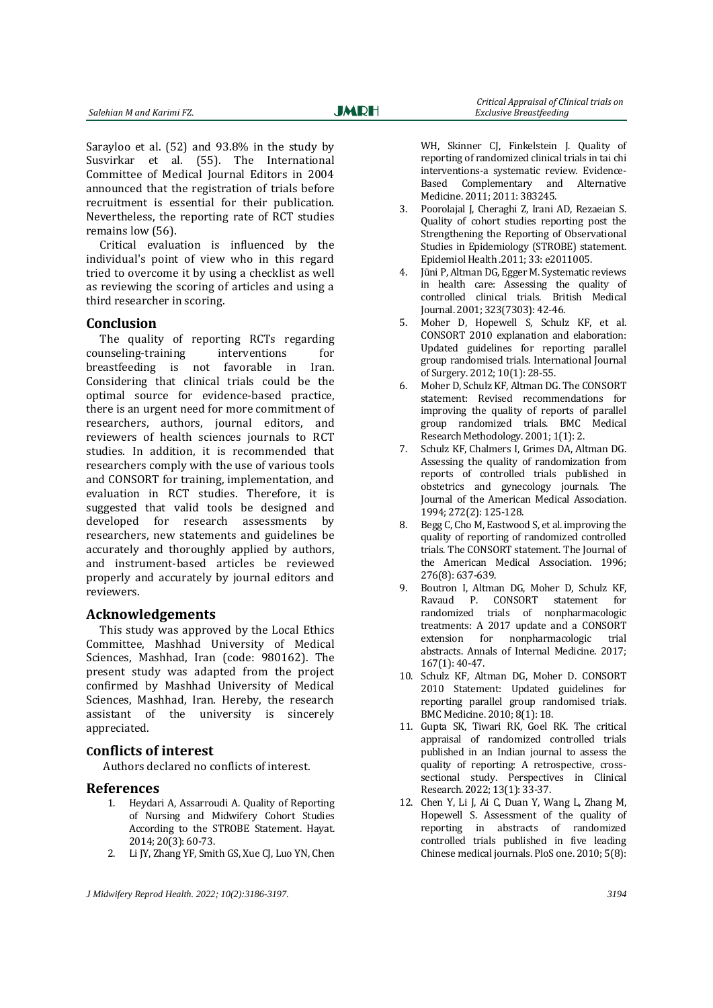Sarayloo et al. (52) and 93.8% in the study by Susvirkar et al. (55). The International Committee of Medical Journal Editors in 2004 announced that the registration of trials before recruitment is essential for their publication. Nevertheless, the reporting rate of RCT studies remains low (56).

Critical evaluation is influenced by the individual's point of view who in this regard tried to overcome it by using a checklist as well as reviewing the scoring of articles and using a third researcher in scoring.

#### **Conclusion**

The quality of reporting RCTs regarding counseling-training interventions for breastfeeding is not favorable in Iran. Considering that clinical trials could be the optimal source for evidence-based practice, there is an urgent need for more commitment of researchers, authors, journal editors, and reviewers of health sciences journals to RCT studies. In addition, it is recommended that researchers comply with the use of various tools and CONSORT for training, implementation, and evaluation in RCT studies. Therefore, it is suggested that valid tools be designed and developed for research assessments by researchers, new statements and guidelines be accurately and thoroughly applied by authors, and instrument-based articles be reviewed properly and accurately by journal editors and reviewers.

#### **Acknowledgements**

This study was approved by the Local Ethics Committee, Mashhad University of Medical Sciences, Mashhad, Iran (code: 980162). The present study was adapted from the project confirmed by Mashhad University of Medical Sciences, Mashhad, Iran. Hereby, the research assistant of the university is sincerely appreciated.

#### **Conflicts of interest**

Authors declared no conflicts of interest.

#### **References**

- 1. Heydari A, Assarroudi A. Quality of Reporting of Nursing and Midwifery Cohort Studies According to the STROBE Statement. Hayat. 2014; 20(3): 60-73.
- 2. Li JY, Zhang YF, Smith GS, Xue CJ, Luo YN, Chen

WH, Skinner CJ, Finkelstein J. Quality of reporting of randomized clinical trials in tai chi interventions-a systematic review. Evidence-Based Complementary and Alternative Medicine. 2011; 2011: 383245.

- 3. Poorolajal J, Cheraghi Z, Irani AD, Rezaeian S. Quality of cohort studies reporting post the Strengthening the Reporting of Observational Studies in Epidemiology (STROBE) statement. Epidemiol Health .2011; 33: e2011005.
- 4. Jüni P, Altman DG, Egger M. Systematic reviews in health care: Assessing the quality of controlled clinical trials. British Medical Journal. 2001; 323(7303): 42-46.
- 5. Moher D, Hopewell S, Schulz KF, et al. CONSORT 2010 explanation and elaboration: Updated guidelines for reporting parallel group randomised trials. International Journal of Surgery. 2012; 10(1): 28-55.
- 6. Moher D, Schulz KF, Altman DG. The CONSORT statement: Revised recommendations for improving the quality of reports of parallel group randomized trials. BMC Medical Research Methodology. 2001; 1(1): 2.
- 7. Schulz KF, Chalmers I, Grimes DA, Altman DG. Assessing the quality of randomization from reports of controlled trials published in obstetrics and gynecology journals. The Journal of the American Medical Association. 1994; 272(2): 125-128.
- 8. Begg C, Cho M, Eastwood S, et al. improving the quality of reporting of randomized controlled trials. The CONSORT statement. The Journal of the American Medical Association. 1996; 276(8): 637-639.
- 9. Boutron I, Altman DG, Moher D, Schulz KF, Ravaud P. CONSORT statement for randomized trials of nonpharmacologic treatments: A 2017 update and a CONSORT extension for nonpharmacologic trial abstracts. Annals of Internal Medicine. 2017; 167(1): 40-47.
- 10. Schulz KF, Altman DG, Moher D. CONSORT 2010 Statement: Updated guidelines for reporting parallel group randomised trials. BMC Medicine. 2010; 8(1): 18.
- 11. Gupta SK, Tiwari RK, Goel RK. The critical appraisal of randomized controlled trials published in an Indian journal to assess the quality of reporting: A retrospective, crosssectional study. Perspectives in Clinical Research. 2022; 13(1): 33-37.
- 12. Chen Y, Li J, Ai C, Duan Y, Wang L, Zhang M, Hopewell S. Assessment of the quality of reporting in abstracts of randomized controlled trials published in five leading Chinese medical journals. PloS one. 2010; 5(8):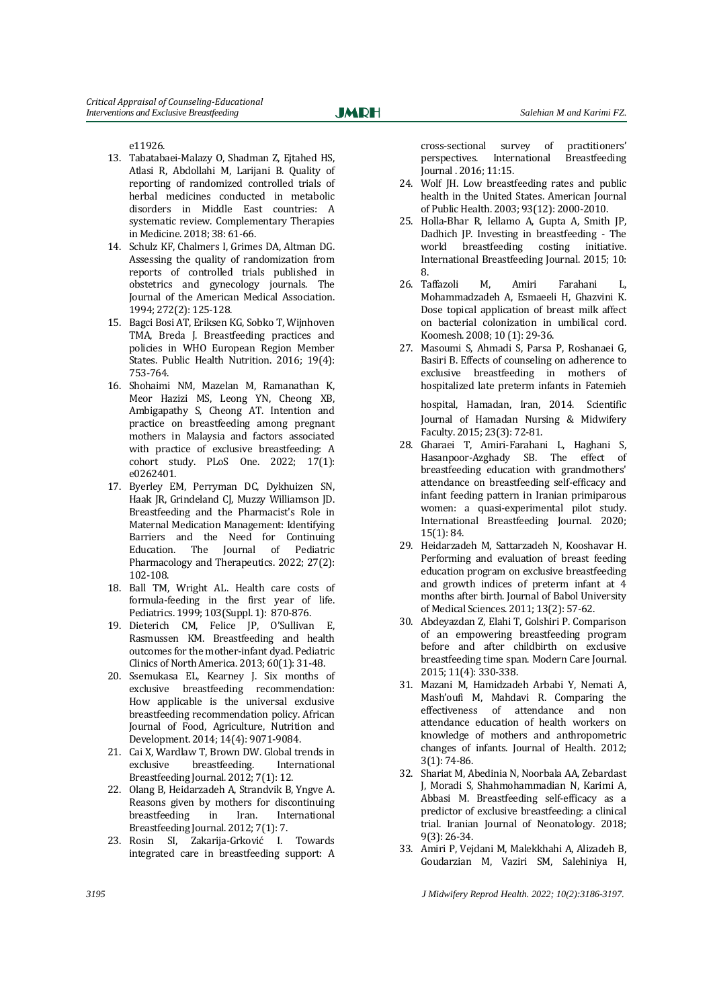e11926.

- 13. Tabatabaei-Malazy O, Shadman Z, Ejtahed HS, Atlasi R, Abdollahi M, Larijani B. Quality of reporting of randomized controlled trials of herbal medicines conducted in metabolic disorders in Middle East countries: A systematic review. Complementary Therapies in Medicine. 2018; 38: 61-66.
- 14. Schulz KF, Chalmers I, Grimes DA, Altman DG. Assessing the quality of randomization from reports of controlled trials published in obstetrics and gynecology journals. The Journal of the American Medical Association. 1994; 272(2): 125-128.
- 15. Bagci Bosi AT, Eriksen KG, Sobko T, Wijnhoven TMA, Breda J. Breastfeeding practices and policies in WHO European Region Member States. Public Health Nutrition. 2016; 19(4): 753-764.
- 16. Shohaimi NM, Mazelan M, Ramanathan K, Meor Hazizi MS, Leong YN, Cheong XB, Ambigapathy S, Cheong AT. Intention and practice on breastfeeding among pregnant mothers in Malaysia and factors associated with practice of exclusive breastfeeding: A cohort study. PLoS One. 2022; 17(1): e0262401.
- 17. Byerley EM, Perryman DC, Dykhuizen SN, Haak JR, Grindeland CJ, Muzzy Williamson JD. Breastfeeding and the Pharmacist's Role in Maternal Medication Management: Identifying Barriers and the Need for Continuing Education. The Journal of Pediatric Pharmacology and Therapeutics. 2022; 27(2): 102-108.
- 18. Ball TM, Wright AL. Health care costs of formula-feeding in the first year of life. Pediatrics. 1999; 103(Suppl. 1): 870-876.
- 19. Dieterich CM, Felice JP, O'Sullivan E, Rasmussen KM. Breastfeeding and health outcomes for the mother-infant dyad. Pediatric Clinics of North America. 2013; 60(1): 31-48.
- 20. Ssemukasa EL, Kearney J. Six months of exclusive breastfeeding recommendation: How applicable is the universal exclusive breastfeeding recommendation policy. African Journal of Food, Agriculture, Nutrition and Development. 2014; 14(4): 9071-9084.
- 21. Cai X, Wardlaw T, Brown DW. Global trends in exclusive breastfeeding. International Breastfeeding Journal. 2012; 7(1): 12.
- 22. Olang B, Heidarzadeh A, Strandvik B, Yngve A. Reasons given by mothers for discontinuing breastfeeding in Iran. International Breastfeeding Journal. 2012; 7(1): 7.
- 23. Rosin SI, Zakarija-Grković I. Towards integrated care in breastfeeding support: A

cross-sectional survey of practitioners' perspectives. International Breastfeeding Journal . 2016; 11:15.

- 24. Wolf JH. Low breastfeeding rates and public health in the United States. American Journal of Public Health. 2003; 93(12): 2000-2010.
- 25. Holla-Bhar R, Iellamo A, Gupta A, Smith JP, Dadhich JP. Investing in breastfeeding - The world breastfeeding costing initiative. International Breastfeeding Journal. 2015; 10: 8.
- 26. Taffazoli M, Amiri Farahani L, Mohammadzadeh A, Esmaeeli H, Ghazvini K. Dose topical application of breast milk affect on bacterial colonization in umbilical cord. Koomesh. 2008; 10 (1): 29-36.
- 27. Masoumi S, Ahmadi S, Parsa P, Roshanaei G, Basiri B. Effects of counseling on adherence to exclusive breastfeeding in mothers of hospitalized late preterm infants in Fatemieh

hospital, Hamadan, Iran, 2014. Scientific Journal of Hamadan Nursing & Midwifery Faculty. 2015; 23(3): 72-81.

- 28. Gharaei T, Amiri-Farahani L, Haghani S, Hasanpoor-Azghady SB. The effect of breastfeeding education with grandmothers' attendance on breastfeeding self-efficacy and infant feeding pattern in Iranian primiparous women: a quasi-experimental pilot study. International Breastfeeding Journal. 2020; 15(1): 84.
- 29. Heidarzadeh M, Sattarzadeh N, Kooshavar H. Performing and evaluation of breast feeding education program on exclusive breastfeeding and growth indices of preterm infant at 4 months after birth. Journal of Babol University of Medical Sciences. 2011; 13(2): 57-62.
- 30. Abdeyazdan Z, Elahi T, Golshiri P. Comparison of an empowering breastfeeding program before and after childbirth on exclusive breastfeeding time span. Modern Care Journal. 2015; 11(4): 330-338.
- 31. Mazani M, Hamidzadeh Arbabi Y, Nemati A, Mash'oufi M, Mahdavi R. Comparing the effectiveness of attendance and non attendance education of health workers on knowledge of mothers and anthropometric changes of infants. Journal of Health. 2012; 3(1): 74-86.
- 32. Shariat M, Abedinia N, Noorbala AA, Zebardast J, Moradi S, Shahmohammadian N, Karimi A, Abbasi M. Breastfeeding self-efficacy as a predictor of exclusive breastfeeding: a clinical trial. Iranian Journal of Neonatology. 2018; 9(3): 26-34.
- 33. Amiri P, Vejdani M, Malekkhahi A, Alizadeh B, Goudarzian M, Vaziri SM, Salehiniya H,

*3195 J Midwifery Reprod Health. 2022; 10(2):3186-3197.*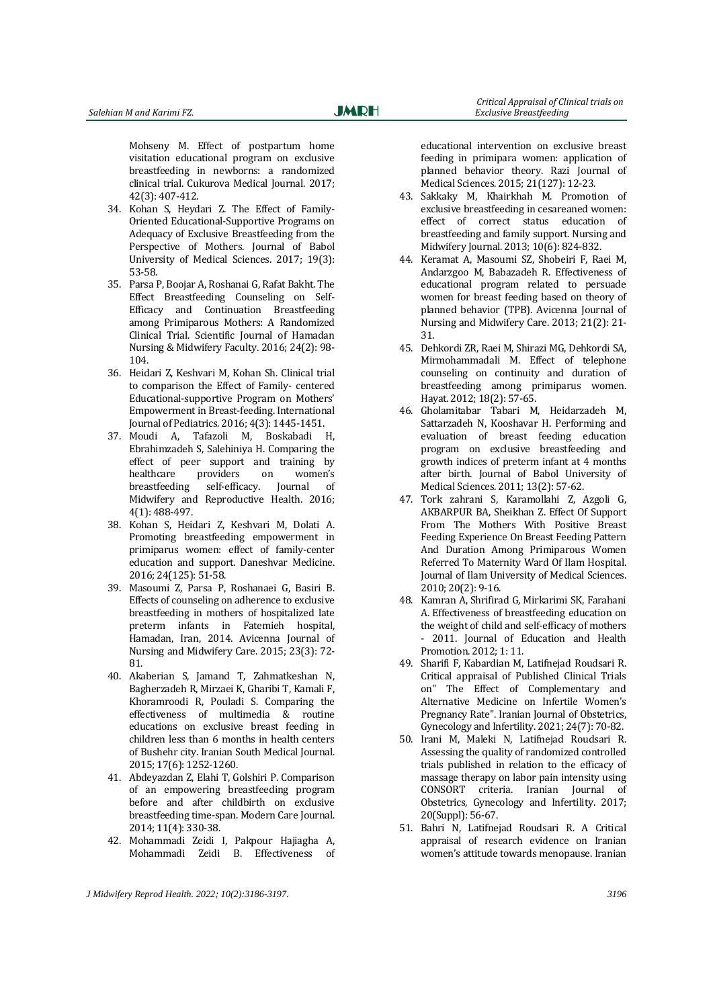Mohseny M. Effect of postpartum home visitation educational program on exclusive breastfeeding in newborns: a randomized clinical trial. Cukurova Medical Journal. 2017; 42(3): 407-412.

- 34. Kohan S, Heydari Z. The Effect of Family-Oriented Educational-Supportive Programs on Adequacy of Exclusive Breastfeeding from the Perspective of Mothers. Journal of Babol University of Medical Sciences. 2017; 19(3): 53-58.
- 35. Parsa P, Boojar A, Roshanai G, Rafat Bakht. The Effect Breastfeeding Counseling on Self-Efficacy and Continuation Breastfeeding among Primiparous Mothers: A Randomized Clinical Trial. Scientific Journal of Hamadan Nursing & Midwifery Faculty. 2016; 24(2): 98- 104.
- 36. Heidari Z, Keshvari M, Kohan Sh. Clinical trial to comparison the Effect of Family- centered Educational-supportive Program on Mothers' Empowerment in Breast-feeding. International Journal of Pediatrics. 2016; 4(3): 1445-1451.
- 37. Moudi A, Tafazoli M, Boskabadi H, Ebrahimzadeh S, Salehiniya H. Comparing the effect of peer support and training by healthcare providers on women's breastfeeding self-efficacy. Journal of Midwifery and Reproductive Health. 2016; 4(1): 488-497.
- 38. Kohan S, Heidari Z, Keshvari M, Dolati A. Promoting breastfeeding empowerment in primiparus women: effect of family-center education and support. Daneshvar Medicine. 2016; 24(125): 51-58.
- 39. Masoumi Z, Parsa P, Roshanaei G, Basiri B. Effects of counseling on adherence to exclusive breastfeeding in mothers of hospitalized late preterm infants in Fatemieh hospital, Hamadan, Iran, 2014. Avicenna Journal of Nursing and Midwifery Care. 2015; 23(3): 72- 81.
- 40. Akaberian S, Jamand T, Zahmatkeshan N, Bagherzadeh R, Mirzaei K, Gharibi T, Kamali F, Khoramroodi R, Pouladi S. Comparing the effectiveness of multimedia & routine educations on exclusive breast feeding in children less than 6 months in health centers of Bushehr city. Iranian South Medical Journal. 2015; 17(6): 1252-1260.
- 41. Abdeyazdan Z, Elahi T, Golshiri P. Comparison of an empowering breastfeeding program before and after childbirth on exclusive breastfeeding time-span. Modern Care Journal. 2014; 11(4): 330-38.
- 42. Mohammadi Zeidi I, Pakpour Hajiagha A, Mohammadi Zeidi B. Effectiveness of

 *Critical Appraisal of Clinical trials on*

educational intervention on exclusive breast feeding in primipara women: application of planned behavior theory. Razi Journal of Medical Sciences. 2015; 21(127): 12-23.

- 43. Sakkaky M, Khairkhah M. Promotion of exclusive breastfeeding in cesareaned women: effect of correct status education of breastfeeding and family support. Nursing and Midwifery Journal. 2013; 10(6): 824-832.
- 44. Keramat A, Masoumi SZ, Shobeiri F, Raei M, Andarzgoo M, Babazadeh R. Effectiveness of educational program related to persuade women for breast feeding based on theory of planned behavior (TPB). Avicenna Journal of Nursing and Midwifery Care. 2013; 21(2): 21- 31.
- 45. Dehkordi ZR, Raei M, Shirazi MG, Dehkordi SA, Mirmohammadali M. Effect of telephone counseling on continuity and duration of breastfeeding among primiparus women. Hayat. 2012; 18(2): 57-65.
- 46. Gholamitabar Tabari M, Heidarzadeh M, Sattarzadeh N, Kooshavar H. Performing and evaluation of breast feeding education program on exclusive breastfeeding and growth indices of preterm infant at 4 months after birth. Journal of Babol University of Medical Sciences. 2011; 13(2): 57-62.
- 47. Tork zahrani S, Karamollahi Z, Azgoli G, AKBARPUR BA, Sheikhan Z. Effect Of Support From The Mothers With Positive Breast Feeding Experience On Breast Feeding Pattern And Duration Among Primiparous Women Referred To Maternity Ward Of Ilam Hospital. Journal of Ilam University of Medical Sciences. 2010; 20(2): 9-16.
- 48. Kamran A, Shrifirad G, Mirkarimi SK, Farahani A. Effectiveness of breastfeeding education on the weight of child and self-efficacy of mothers 2011. Journal of Education and Health Promotion. 2012; 1: 11.
- 49. Sharifi F, Kabardian M, Latifnejad Roudsari R. Critical appraisal of Published Clinical Trials on" The Effect of Complementary and Alternative Medicine on Infertile Women's Pregnancy Rate". Iranian Journal of Obstetrics, Gynecology and Infertility. 2021; 24(7): 70-82.
- 50. Irani M, Maleki N, Latifnejad Roudsari R. Assessing the quality of randomized controlled trials published in relation to the efficacy of massage therapy on labor pain intensity using CONSORT criteria. Iranian Journal of Obstetrics, Gynecology and Infertility. 2017; 20(Suppl): 56-67.
- 51. Bahri N, Latifnejad Roudsari R. A Critical appraisal of research evidence on Iranian women's attitude towards menopause. Iranian

*J Midwifery Reprod Health. 2022; 10(2):3186-3197. 3196*